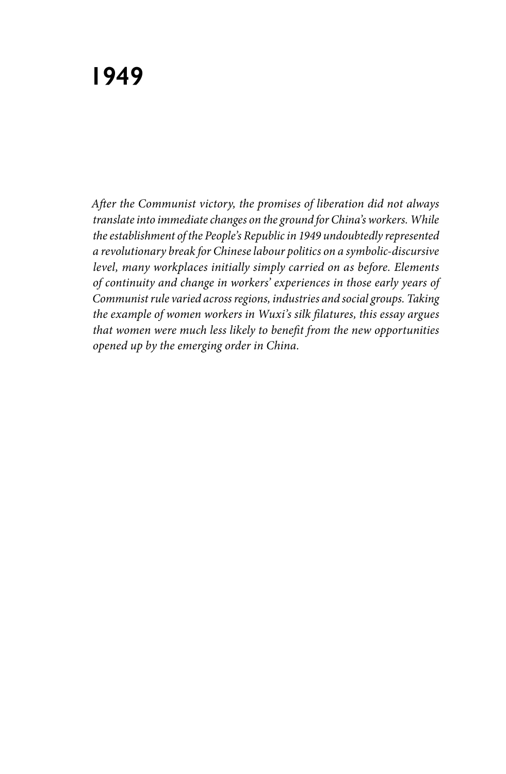*After the Communist victory, the promises of liberation did not always translate into immediate changes on the ground for China's workers. While the establishment of the People's Republic in 1949 undoubtedly represented a revolutionary break for Chinese labour politics on a symbolic-discursive level, many workplaces initially simply carried on as before. Elements of continuity and change in workers' experiences in those early years of Communist rule varied across regions, industries and social groups. Taking the example of women workers in Wuxi's silk filatures, this essay argues that women were much less likely to benefit from the new opportunities opened up by the emerging order in China.*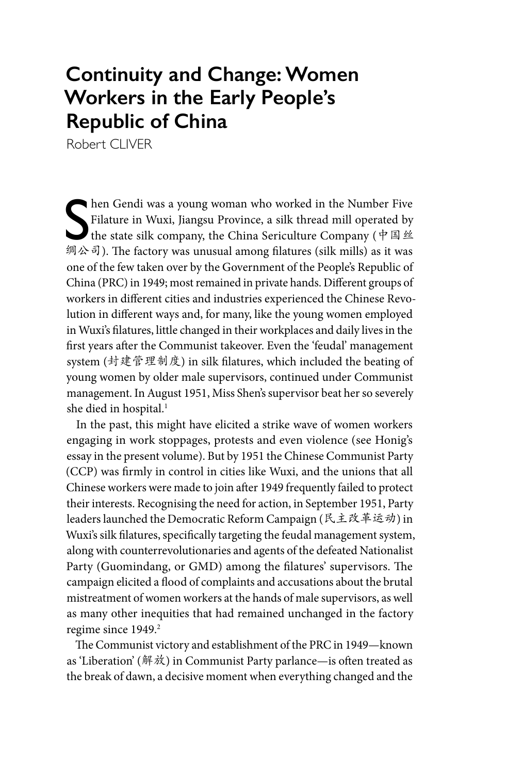## **Continuity and Change: Women Workers in the Early People's Republic of China**

Robert CLIVER

Shen Gendi was a young woman who worked in the Number Five<br>Filature in Wuxi, Jiangsu Province, a silk thread mill operated by<br>the state silk company, the China Sericulture Company (中国丝 hen Gendi was a young woman who worked in the Number Five Filature in Wuxi, Jiangsu Province, a silk thread mill operated by 绸公司). The factory was unusual among filatures (silk mills) as it was one of the few taken over by the Government of the People's Republic of China (PRC) in 1949; most remained in private hands. Different groups of workers in different cities and industries experienced the Chinese Revolution in different ways and, for many, like the young women employed in Wuxi's filatures, little changed in their workplaces and daily lives in the first years after the Communist takeover. Even the 'feudal' management system (封建管理制度) in silk filatures, which included the beating of young women by older male supervisors, continued under Communist management. In August 1951, Miss Shen's supervisor beat her so severely she died in hospital.<sup>1</sup>

In the past, this might have elicited a strike wave of women workers engaging in work stoppages, protests and even violence (see Honig's essay in the present volume). But by 1951 the Chinese Communist Party (CCP) was firmly in control in cities like Wuxi, and the unions that all Chinese workers were made to join after 1949 frequently failed to protect their interests. Recognising the need for action, in September 1951, Party leaders launched the Democratic Reform Campaign (民主改革运动) in Wuxi's silk filatures, specifically targeting the feudal management system, along with counterrevolutionaries and agents of the defeated Nationalist Party (Guomindang, or GMD) among the filatures' supervisors. The campaign elicited a flood of complaints and accusations about the brutal mistreatment of women workers at the hands of male supervisors, as well as many other inequities that had remained unchanged in the factory regime since 1949.<sup>2</sup>

The Communist victory and establishment of the PRC in 1949—known as 'Liberation' (解放) in Communist Party parlance—is often treated as the break of dawn, a decisive moment when everything changed and the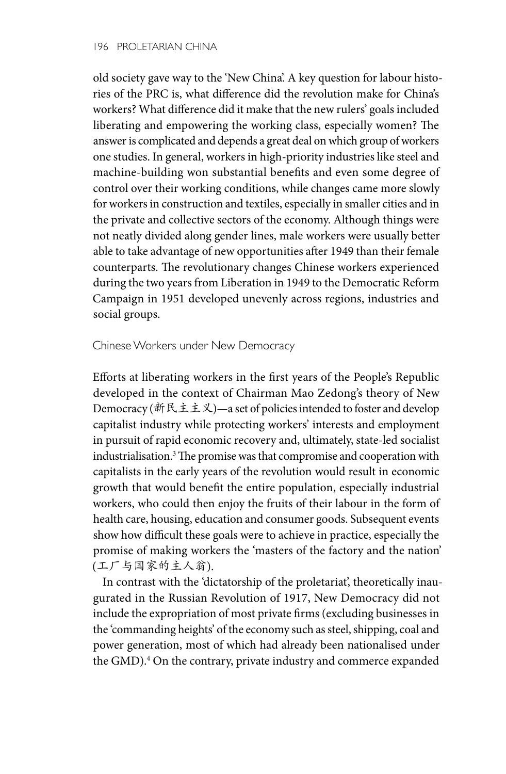old society gave way to the 'New China'. A key question for labour histories of the PRC is, what difference did the revolution make for China's workers? What difference did it make that the new rulers' goals included liberating and empowering the working class, especially women? The answer is complicated and depends a great deal on which group of workers one studies. In general, workers in high-priority industries like steel and machine-building won substantial benefits and even some degree of control over their working conditions, while changes came more slowly for workers in construction and textiles, especially in smaller cities and in the private and collective sectors of the economy. Although things were not neatly divided along gender lines, male workers were usually better able to take advantage of new opportunities after 1949 than their female counterparts. The revolutionary changes Chinese workers experienced during the two years from Liberation in 1949 to the Democratic Reform Campaign in 1951 developed unevenly across regions, industries and social groups.

Chinese Workers under New Democracy

Efforts at liberating workers in the first years of the People's Republic developed in the context of Chairman Mao Zedong's theory of New Democracy (新民主主义)—a set of policies intended to foster and develop capitalist industry while protecting workers' interests and employment in pursuit of rapid economic recovery and, ultimately, state-led socialist industrialisation.3 The promise was that compromise and cooperation with capitalists in the early years of the revolution would result in economic growth that would benefit the entire population, especially industrial workers, who could then enjoy the fruits of their labour in the form of health care, housing, education and consumer goods. Subsequent events show how difficult these goals were to achieve in practice, especially the promise of making workers the 'masters of the factory and the nation' (工厂与国家的主人翁).

In contrast with the 'dictatorship of the proletariat', theoretically inaugurated in the Russian Revolution of 1917, New Democracy did not include the expropriation of most private firms (excluding businesses in the 'commanding heights' of the economy such as steel, shipping, coal and power generation, most of which had already been nationalised under the GMD).<sup>4</sup> On the contrary, private industry and commerce expanded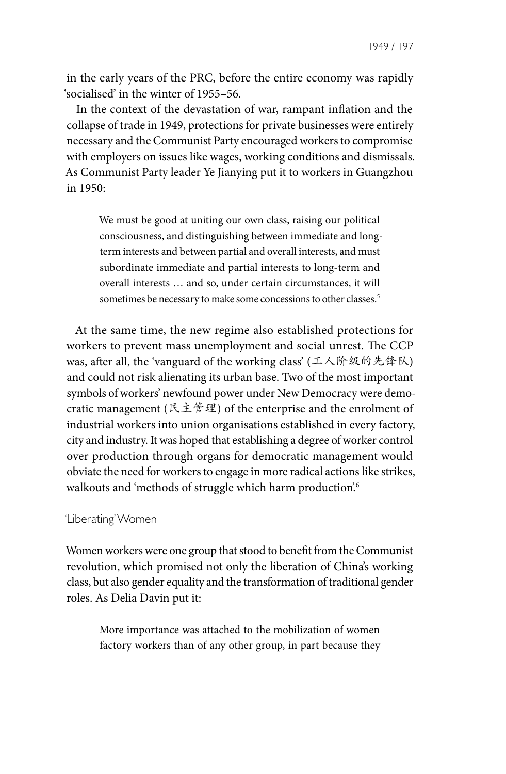1949 / 197

in the early years of the PRC, before the entire economy was rapidly 'socialised' in the winter of 1955–56.

In the context of the devastation of war, rampant inflation and the collapse of trade in 1949, protections for private businesses were entirely necessary and the Communist Party encouraged workers to compromise with employers on issues like wages, working conditions and dismissals. As Communist Party leader Ye Jianying put it to workers in Guangzhou in 1950:

We must be good at uniting our own class, raising our political consciousness, and distinguishing between immediate and longterm interests and between partial and overall interests, and must subordinate immediate and partial interests to long-term and overall interests … and so, under certain circumstances, it will sometimes be necessary to make some concessions to other classes.<sup>5</sup>

At the same time, the new regime also established protections for workers to prevent mass unemployment and social unrest. The CCP was, after all, the 'vanguard of the working class' (工人阶级的先锋队) and could not risk alienating its urban base. Two of the most important symbols of workers' newfound power under New Democracy were democratic management (民主管理) of the enterprise and the enrolment of industrial workers into union organisations established in every factory, city and industry. It was hoped that establishing a degree of worker control over production through organs for democratic management would obviate the need for workers to engage in more radical actions like strikes, walkouts and 'methods of struggle which harm production'.<sup>6</sup>

## 'Liberating' Women

Women workers were one group that stood to benefit from the Communist revolution, which promised not only the liberation of China's working class, but also gender equality and the transformation of traditional gender roles. As Delia Davin put it:

More importance was attached to the mobilization of women factory workers than of any other group, in part because they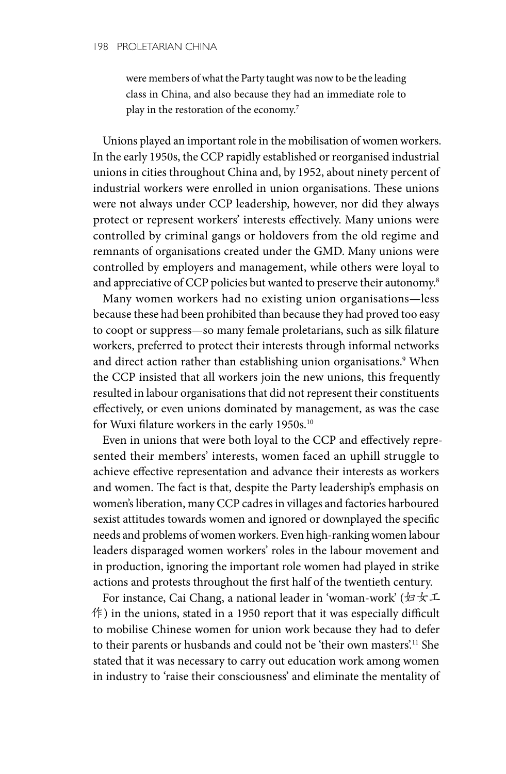were members of what the Party taught was now to be the leading class in China, and also because they had an immediate role to play in the restoration of the economy.<sup>7</sup>

Unions played an important role in the mobilisation of women workers. In the early 1950s, the CCP rapidly established or reorganised industrial unions in cities throughout China and, by 1952, about ninety percent of industrial workers were enrolled in union organisations. These unions were not always under CCP leadership, however, nor did they always protect or represent workers' interests effectively. Many unions were controlled by criminal gangs or holdovers from the old regime and remnants of organisations created under the GMD. Many unions were controlled by employers and management, while others were loyal to and appreciative of CCP policies but wanted to preserve their autonomy.<sup>8</sup>

Many women workers had no existing union organisations—less because these had been prohibited than because they had proved too easy to coopt or suppress—so many female proletarians, such as silk filature workers, preferred to protect their interests through informal networks and direct action rather than establishing union organisations.<sup>9</sup> When the CCP insisted that all workers join the new unions, this frequently resulted in labour organisations that did not represent their constituents effectively, or even unions dominated by management, as was the case for Wuxi filature workers in the early 1950s.<sup>10</sup>

Even in unions that were both loyal to the CCP and effectively represented their members' interests, women faced an uphill struggle to achieve effective representation and advance their interests as workers and women. The fact is that, despite the Party leadership's emphasis on women's liberation, many CCP cadres in villages and factories harboured sexist attitudes towards women and ignored or downplayed the specific needs and problems of women workers. Even high-ranking women labour leaders disparaged women workers' roles in the labour movement and in production, ignoring the important role women had played in strike actions and protests throughout the first half of the twentieth century.

For instance, Cai Chang, a national leader in 'woman-work' (妇女工  $\langle f \rangle$  in the unions, stated in a 1950 report that it was especially difficult to mobilise Chinese women for union work because they had to defer to their parents or husbands and could not be 'their own masters'.11 She stated that it was necessary to carry out education work among women in industry to 'raise their consciousness' and eliminate the mentality of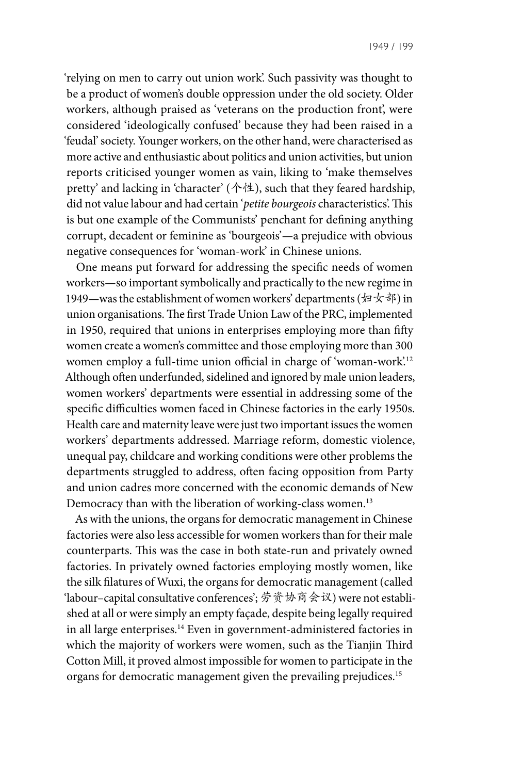'relying on men to carry out union work'. Such passivity was thought to be a product of women's double oppression under the old society. Older workers, although praised as 'veterans on the production front', were considered 'ideologically confused' because they had been raised in a 'feudal' society. Younger workers, on the other hand, were characterised as more active and enthusiastic about politics and union activities, but union reports criticised younger women as vain, liking to 'make themselves pretty' and lacking in 'character' (个性), such that they feared hardship, did not value labour and had certain '*petite bourgeois* characteristics'. This is but one example of the Communists' penchant for defining anything corrupt, decadent or feminine as 'bourgeois'—a prejudice with obvious negative consequences for 'woman-work' in Chinese unions.

One means put forward for addressing the specific needs of women workers—so important symbolically and practically to the new regime in 1949—was the establishment of women workers' departments (妇女部) in union organisations. The first Trade Union Law of the PRC, implemented in 1950, required that unions in enterprises employing more than fifty women create a women's committee and those employing more than 300 women employ a full-time union official in charge of 'woman-work'.12 Although often underfunded, sidelined and ignored by male union leaders, women workers' departments were essential in addressing some of the specific difficulties women faced in Chinese factories in the early 1950s. Health care and maternity leave were just two important issues the women workers' departments addressed. Marriage reform, domestic violence, unequal pay, childcare and working conditions were other problems the departments struggled to address, often facing opposition from Party and union cadres more concerned with the economic demands of New Democracy than with the liberation of working-class women.<sup>13</sup>

As with the unions, the organs for democratic management in Chinese factories were also less accessible for women workers than for their male counterparts. This was the case in both state-run and privately owned factories. In privately owned factories employing mostly women, like the silk filatures of Wuxi, the organs for democratic management (called 'labour–capital consultative conferences'; 劳资协商会议) were not established at all or were simply an empty façade, despite being legally required in all large enterprises.14 Even in government-administered factories in which the majority of workers were women, such as the Tianjin Third Cotton Mill, it proved almost impossible for women to participate in the organs for democratic management given the prevailing prejudices.15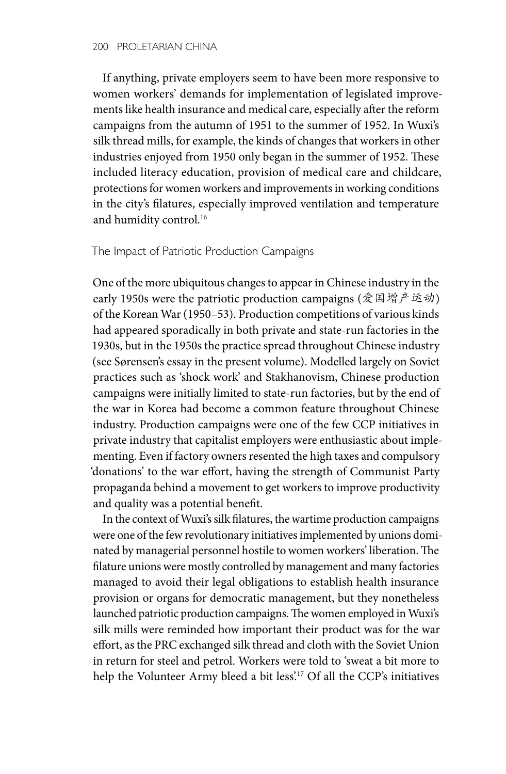If anything, private employers seem to have been more responsive to women workers' demands for implementation of legislated improvements like health insurance and medical care, especially after the reform campaigns from the autumn of 1951 to the summer of 1952. In Wuxi's silk thread mills, for example, the kinds of changes that workers in other industries enjoyed from 1950 only began in the summer of 1952. These included literacy education, provision of medical care and childcare, protections for women workers and improvements in working conditions in the city's filatures, especially improved ventilation and temperature and humidity control.<sup>16</sup>

## The Impact of Patriotic Production Campaigns

One of the more ubiquitous changes to appear in Chinese industry in the early 1950s were the patriotic production campaigns (爱国增产运动) of the Korean War (1950–53). Production competitions of various kinds had appeared sporadically in both private and state-run factories in the 1930s, but in the 1950s the practice spread throughout Chinese industry (see Sørensen's essay in the present volume). Modelled largely on Soviet practices such as 'shock work' and Stakhanovism, Chinese production campaigns were initially limited to state-run factories, but by the end of the war in Korea had become a common feature throughout Chinese industry. Production campaigns were one of the few CCP initiatives in private industry that capitalist employers were enthusiastic about implementing. Even if factory owners resented the high taxes and compulsory 'donations' to the war effort, having the strength of Communist Party propaganda behind a movement to get workers to improve productivity and quality was a potential benefit.

In the context of Wuxi's silk filatures, the wartime production campaigns were one of the few revolutionary initiatives implemented by unions dominated by managerial personnel hostile to women workers' liberation. The filature unions were mostly controlled by management and many factories managed to avoid their legal obligations to establish health insurance provision or organs for democratic management, but they nonetheless launched patriotic production campaigns. The women employed in Wuxi's silk mills were reminded how important their product was for the war effort, as the PRC exchanged silk thread and cloth with the Soviet Union in return for steel and petrol. Workers were told to 'sweat a bit more to help the Volunteer Army bleed a bit less'.<sup>17</sup> Of all the CCP's initiatives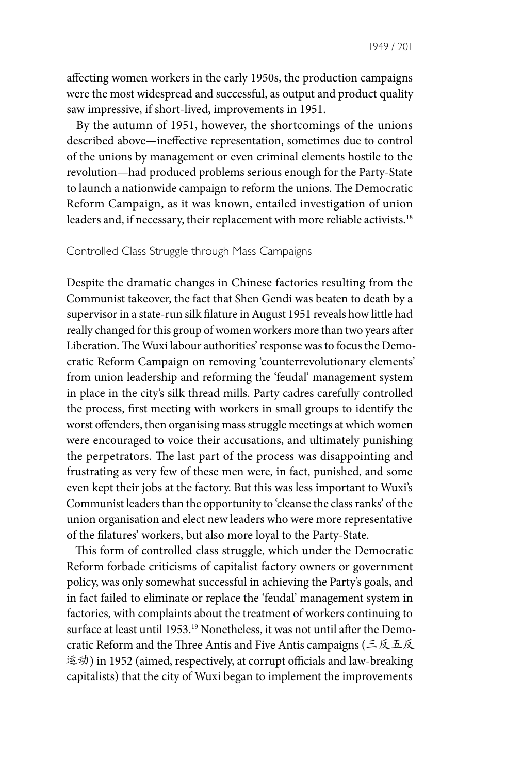1949 / 201

affecting women workers in the early 1950s, the production campaigns were the most widespread and successful, as output and product quality saw impressive, if short-lived, improvements in 1951.

By the autumn of 1951, however, the shortcomings of the unions described above—ineffective representation, sometimes due to control of the unions by management or even criminal elements hostile to the revolution—had produced problems serious enough for the Party-State to launch a nationwide campaign to reform the unions. The Democratic Reform Campaign, as it was known, entailed investigation of union leaders and, if necessary, their replacement with more reliable activists.<sup>18</sup>

## Controlled Class Struggle through Mass Campaigns

Despite the dramatic changes in Chinese factories resulting from the Communist takeover, the fact that Shen Gendi was beaten to death by a supervisor in a state-run silk filature in August 1951 reveals how little had really changed for this group of women workers more than two years after Liberation. The Wuxi labour authorities' response was to focus the Democratic Reform Campaign on removing 'counterrevolutionary elements' from union leadership and reforming the 'feudal' management system in place in the city's silk thread mills. Party cadres carefully controlled the process, first meeting with workers in small groups to identify the worst offenders, then organising mass struggle meetings at which women were encouraged to voice their accusations, and ultimately punishing the perpetrators. The last part of the process was disappointing and frustrating as very few of these men were, in fact, punished, and some even kept their jobs at the factory. But this was less important to Wuxi's Communist leaders than the opportunity to 'cleanse the class ranks' of the union organisation and elect new leaders who were more representative of the filatures' workers, but also more loyal to the Party-State.

This form of controlled class struggle, which under the Democratic Reform forbade criticisms of capitalist factory owners or government policy, was only somewhat successful in achieving the Party's goals, and in fact failed to eliminate or replace the 'feudal' management system in factories, with complaints about the treatment of workers continuing to surface at least until 1953.19 Nonetheless, it was not until after the Democratic Reform and the Three Antis and Five Antis campaigns (三反五反 运动) in 1952 (aimed, respectively, at corrupt officials and law-breaking capitalists) that the city of Wuxi began to implement the improvements